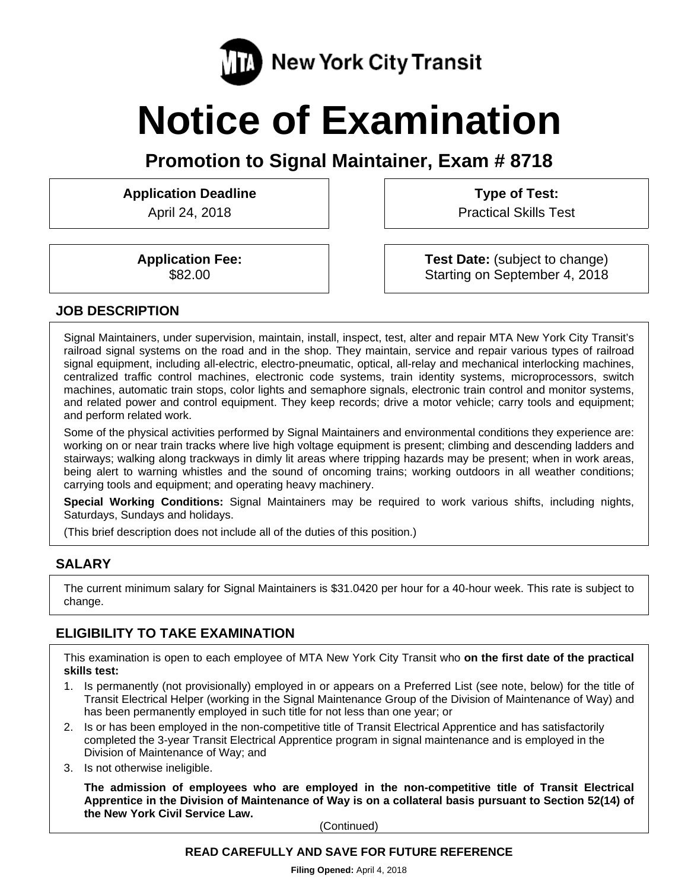

# **Notice of Examination**

**Promotion to Signal Maintainer, Exam # 8718** 

**Application Deadline** 

April 24, 2018

**Type of Test:** 

Practical Skills Test

**Application Fee:**  \$82.00

**Test Date:** (subject to change) Starting on September 4, 2018

#### **JOB DESCRIPTION**

Signal Maintainers, under supervision, maintain, install, inspect, test, alter and repair MTA New York City Transit's railroad signal systems on the road and in the shop. They maintain, service and repair various types of railroad signal equipment, including all-electric, electro-pneumatic, optical, all-relay and mechanical interlocking machines, centralized traffic control machines, electronic code systems, train identity systems, microprocessors, switch machines, automatic train stops, color lights and semaphore signals, electronic train control and monitor systems, and related power and control equipment. They keep records; drive a motor vehicle; carry tools and equipment; and perform related work.

Some of the physical activities performed by Signal Maintainers and environmental conditions they experience are: working on or near train tracks where live high voltage equipment is present; climbing and descending ladders and stairways; walking along trackways in dimly lit areas where tripping hazards may be present; when in work areas, being alert to warning whistles and the sound of oncoming trains; working outdoors in all weather conditions; carrying tools and equipment; and operating heavy machinery.

**Special Working Conditions:** Signal Maintainers may be required to work various shifts, including nights, Saturdays, Sundays and holidays.

(This brief description does not include all of the duties of this position.)

## **SALARY**

The current minimum salary for Signal Maintainers is \$31.0420 per hour for a 40-hour week. This rate is subject to change.

# **ELIGIBILITY TO TAKE EXAMINATION**

This examination is open to each employee of MTA New York City Transit who **on the first date of the practical skills test:** 

- 1. Is permanently (not provisionally) employed in or appears on a Preferred List (see note, below) for the title of Transit Electrical Helper (working in the Signal Maintenance Group of the Division of Maintenance of Way) and has been permanently employed in such title for not less than one year; or
- 2. Is or has been employed in the non-competitive title of Transit Electrical Apprentice and has satisfactorily completed the 3-year Transit Electrical Apprentice program in signal maintenance and is employed in the Division of Maintenance of Way; and
- 3. Is not otherwise ineligible.

**The admission of employees who are employed in the non-competitive title of Transit Electrical Apprentice in the Division of Maintenance of Way is on a collateral basis pursuant to Section 52(14) of the New York Civil Service Law.** 

(Continued)

#### **READ CAREFULLY AND SAVE FOR FUTURE REFERENCE**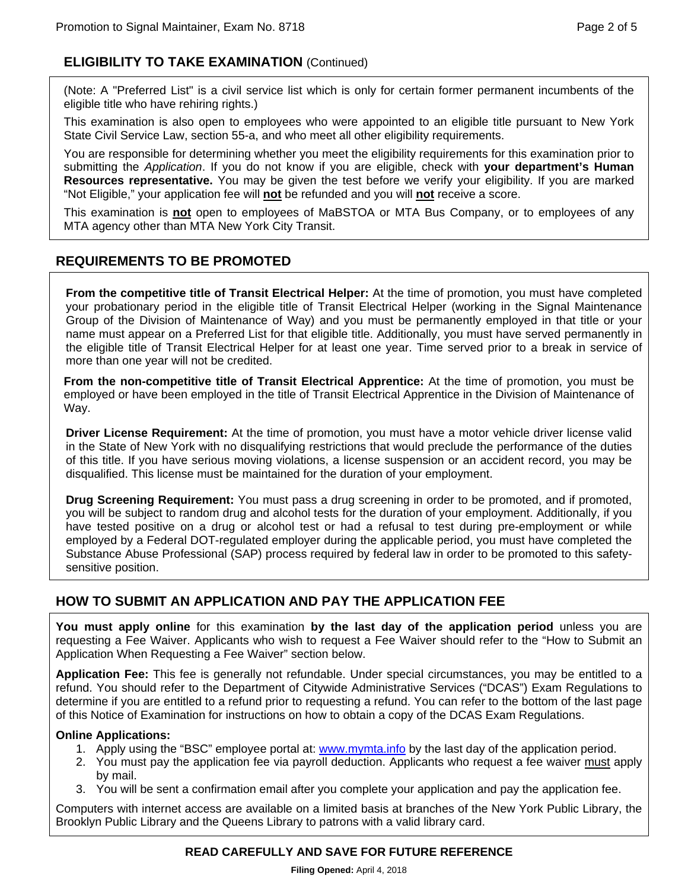# **ELIGIBILITY TO TAKE EXAMINATION** (Continued)

(Note: A "Preferred List" is a civil service list which is only for certain former permanent incumbents of the eligible title who have rehiring rights.)

This examination is also open to employees who were appointed to an eligible title pursuant to New York State Civil Service Law, section 55-a, and who meet all other eligibility requirements.

You are responsible for determining whether you meet the eligibility requirements for this examination prior to submitting the *Application*. If you do not know if you are eligible, check with **your department's Human Resources representative.** You may be given the test before we verify your eligibility. If you are marked "Not Eligible," your application fee will **not** be refunded and you will **not** receive a score.

This examination is **not** open to employees of MaBSTOA or MTA Bus Company, or to employees of any MTA agency other than MTA New York City Transit.

# **REQUIREMENTS TO BE PROMOTED**

**From the competitive title of Transit Electrical Helper:** At the time of promotion, you must have completed your probationary period in the eligible title of Transit Electrical Helper (working in the Signal Maintenance Group of the Division of Maintenance of Way) and you must be permanently employed in that title or your name must appear on a Preferred List for that eligible title. Additionally, you must have served permanently in the eligible title of Transit Electrical Helper for at least one year. Time served prior to a break in service of more than one year will not be credited.

**From the non-competitive title of Transit Electrical Apprentice:** At the time of promotion, you must be employed or have been employed in the title of Transit Electrical Apprentice in the Division of Maintenance of Way.

**Driver License Requirement:** At the time of promotion, you must have a motor vehicle driver license valid in the State of New York with no disqualifying restrictions that would preclude the performance of the duties of this title. If you have serious moving violations, a license suspension or an accident record, you may be disqualified. This license must be maintained for the duration of your employment.

**Drug Screening Requirement:** You must pass a drug screening in order to be promoted, and if promoted, you will be subject to random drug and alcohol tests for the duration of your employment. Additionally, if you have tested positive on a drug or alcohol test or had a refusal to test during pre-employment or while employed by a Federal DOT-regulated employer during the applicable period, you must have completed the Substance Abuse Professional (SAP) process required by federal law in order to be promoted to this safetysensitive position.

# **HOW TO SUBMIT AN APPLICATION AND PAY THE APPLICATION FEE**

**You must apply online** for this examination **by the last day of the application period** unless you are requesting a Fee Waiver. Applicants who wish to request a Fee Waiver should refer to the "How to Submit an Application When Requesting a Fee Waiver" section below.

**Application Fee:** This fee is generally not refundable. Under special circumstances, you may be entitled to a refund. You should refer to the Department of Citywide Administrative Services ("DCAS") Exam Regulations to determine if you are entitled to a refund prior to requesting a refund. You can refer to the bottom of the last page of this Notice of Examination for instructions on how to obtain a copy of the DCAS Exam Regulations.

#### **Online Applications:**

- 1. Apply using the "BSC" employee portal at: www.mymta.info by the last day of the application period.
- 2. You must pay the application fee via payroll deduction. Applicants who request a fee waiver must apply by mail.
- 3. You will be sent a confirmation email after you complete your application and pay the application fee.

Computers with internet access are available on a limited basis at branches of the New York Public Library, the Brooklyn Public Library and the Queens Library to patrons with a valid library card.

## **READ CAREFULLY AND SAVE FOR FUTURE REFERENCE**

**Filing Opened:** April 4, 2018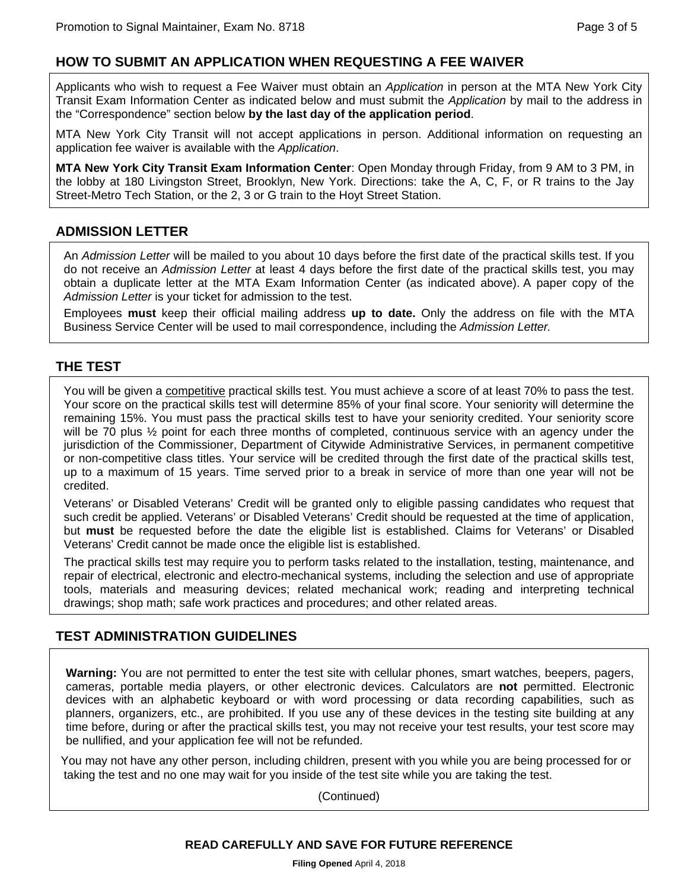## **HOW TO SUBMIT AN APPLICATION WHEN REQUESTING A FEE WAIVER**

Applicants who wish to request a Fee Waiver must obtain an *Application* in person at the MTA New York City Transit Exam Information Center as indicated below and must submit the *Application* by mail to the address in the "Correspondence" section below **by the last day of the application period**.

MTA New York City Transit will not accept applications in person. Additional information on requesting an application fee waiver is available with the *Application*.

**MTA New York City Transit Exam Information Center**: Open Monday through Friday, from 9 AM to 3 PM, in the lobby at 180 Livingston Street, Brooklyn, New York. Directions: take the A, C, F, or R trains to the Jay Street-Metro Tech Station, or the 2, 3 or G train to the Hoyt Street Station.

## **ADMISSION LETTER**

An *Admission Letter* will be mailed to you about 10 days before the first date of the practical skills test. If you do not receive an *Admission Letter* at least 4 days before the first date of the practical skills test, you may obtain a duplicate letter at the MTA Exam Information Center (as indicated above). A paper copy of the *Admission Letter* is your ticket for admission to the test.

Employees **must** keep their official mailing address **up to date.** Only the address on file with the MTA Business Service Center will be used to mail correspondence, including the *Admission Letter.*

#### **THE TEST**

You will be given a competitive practical skills test. You must achieve a score of at least 70% to pass the test. Your score on the practical skills test will determine 85% of your final score. Your seniority will determine the remaining 15%. You must pass the practical skills test to have your seniority credited. Your seniority score will be 70 plus  $\frac{1}{2}$  point for each three months of completed, continuous service with an agency under the jurisdiction of the Commissioner, Department of Citywide Administrative Services, in permanent competitive or non-competitive class titles. Your service will be credited through the first date of the practical skills test, up to a maximum of 15 years. Time served prior to a break in service of more than one year will not be credited.

Veterans' or Disabled Veterans' Credit will be granted only to eligible passing candidates who request that such credit be applied. Veterans' or Disabled Veterans' Credit should be requested at the time of application, but **must** be requested before the date the eligible list is established. Claims for Veterans' or Disabled Veterans' Credit cannot be made once the eligible list is established.

The practical skills test may require you to perform tasks related to the installation, testing, maintenance, and repair of electrical, electronic and electro-mechanical systems, including the selection and use of appropriate tools, materials and measuring devices; related mechanical work; reading and interpreting technical drawings; shop math; safe work practices and procedures; and other related areas.

# **TEST ADMINISTRATION GUIDELINES**

**Warning:** You are not permitted to enter the test site with cellular phones, smart watches, beepers, pagers, cameras, portable media players, or other electronic devices. Calculators are **not** permitted. Electronic devices with an alphabetic keyboard or with word processing or data recording capabilities, such as planners, organizers, etc., are prohibited. If you use any of these devices in the testing site building at any time before, during or after the practical skills test, you may not receive your test results, your test score may be nullified, and your application fee will not be refunded.

You may not have any other person, including children, present with you while you are being processed for or taking the test and no one may wait for you inside of the test site while you are taking the test.

(Continued)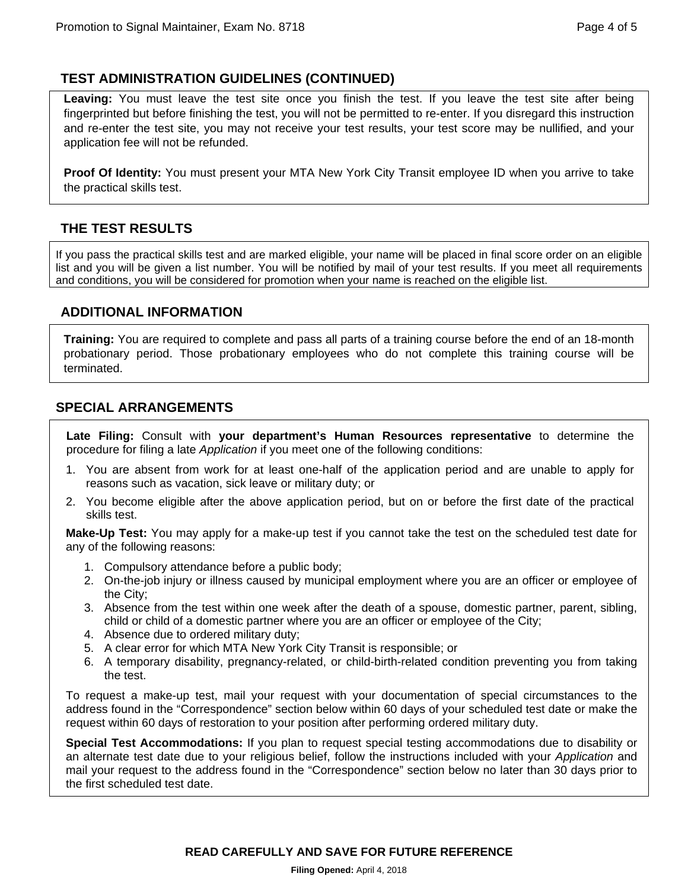# **TEST ADMINISTRATION GUIDELINES (CONTINUED)**

**Leaving:** You must leave the test site once you finish the test. If you leave the test site after being fingerprinted but before finishing the test, you will not be permitted to re-enter. If you disregard this instruction and re-enter the test site, you may not receive your test results, your test score may be nullified, and your application fee will not be refunded.

**Proof Of Identity:** You must present your MTA New York City Transit employee ID when you arrive to take the practical skills test.

# **THE TEST RESULTS**

If you pass the practical skills test and are marked eligible, your name will be placed in final score order on an eligible list and you will be given a list number. You will be notified by mail of your test results. If you meet all requirements and conditions, you will be considered for promotion when your name is reached on the eligible list.

## **ADDITIONAL INFORMATION**

**Training:** You are required to complete and pass all parts of a training course before the end of an 18-month probationary period. Those probationary employees who do not complete this training course will be terminated.

## **SPECIAL ARRANGEMENTS**

**Late Filing:** Consult with **your department's Human Resources representative** to determine the procedure for filing a late *Application* if you meet one of the following conditions:

- 1. You are absent from work for at least one-half of the application period and are unable to apply for reasons such as vacation, sick leave or military duty; or
- 2. You become eligible after the above application period, but on or before the first date of the practical skills test.

**Make-Up Test:** You may apply for a make-up test if you cannot take the test on the scheduled test date for any of the following reasons:

- 1. Compulsory attendance before a public body;
- 2. On-the-job injury or illness caused by municipal employment where you are an officer or employee of the City;
- 3. Absence from the test within one week after the death of a spouse, domestic partner, parent, sibling, child or child of a domestic partner where you are an officer or employee of the City;
- 4. Absence due to ordered military duty;
- 5. A clear error for which MTA New York City Transit is responsible; or
- 6. A temporary disability, pregnancy-related, or child-birth-related condition preventing you from taking the test.

To request a make-up test, mail your request with your documentation of special circumstances to the address found in the "Correspondence" section below within 60 days of your scheduled test date or make the request within 60 days of restoration to your position after performing ordered military duty.

**Special Test Accommodations:** If you plan to request special testing accommodations due to disability or an alternate test date due to your religious belief, follow the instructions included with your *Application* and mail your request to the address found in the "Correspondence" section below no later than 30 days prior to the first scheduled test date.